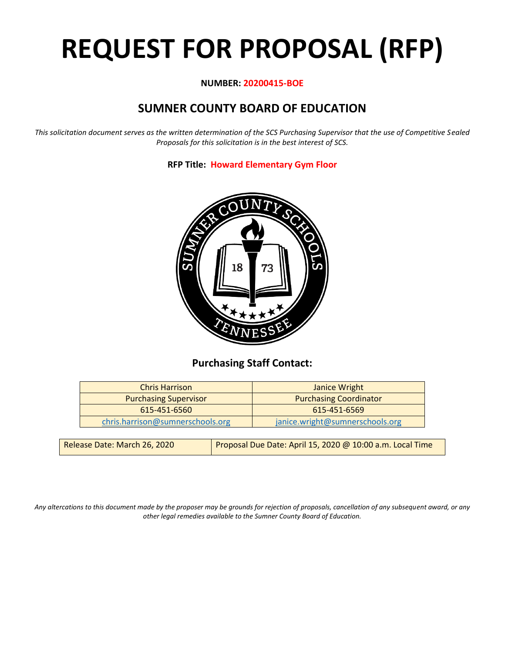# **REQUEST FOR PROPOSAL (RFP)**

# **NUMBER: 20200415-BOE**

# **SUMNER COUNTY BOARD OF EDUCATION**

*This solicitation document serves as the written determination of the SCS Purchasing Supervisor that the use of Competitive Sealed Proposals for this solicitation is in the best interest of SCS.*

**RFP Title: Howard Elementary Gym Floor**



# **Purchasing Staff Contact:**

| <b>Chris Harrison</b>            | Janice Wright                   |
|----------------------------------|---------------------------------|
| <b>Purchasing Supervisor</b>     | <b>Purchasing Coordinator</b>   |
| 615-451-6560                     | 615-451-6569                    |
| chris.harrison@sumnerschools.org | janice.wright@sumnerschools.org |
|                                  |                                 |

*Any altercations to this document made by the proposer may be grounds for rejection of proposals, cancellation of any subsequent award, or any other legal remedies available to the Sumner County Board of Education.*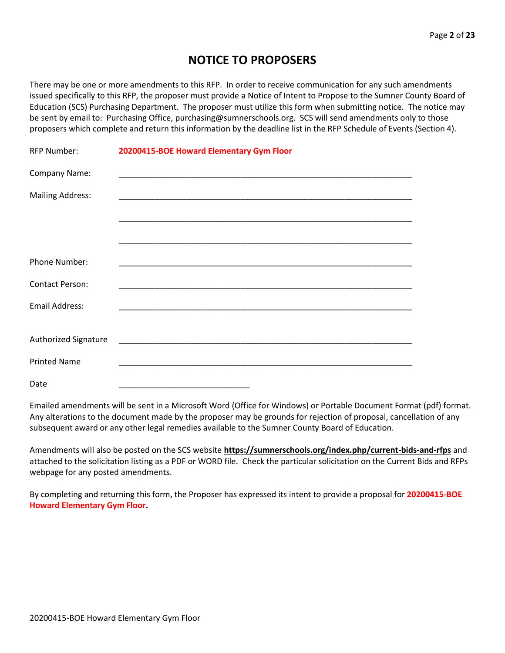# **NOTICE TO PROPOSERS**

There may be one or more amendments to this RFP. In order to receive communication for any such amendments issued specifically to this RFP, the proposer must provide a Notice of Intent to Propose to the Sumner County Board of Education (SCS) Purchasing Department. The proposer must utilize this form when submitting notice. The notice may be sent by email to: Purchasing Office, purchasing@sumnerschools.org. SCS will send amendments only to those proposers which complete and return this information by the deadline list in the RFP Schedule of Events (Section 4).

| <b>RFP Number:</b>      | 20200415-BOE Howard Elementary Gym Floor                          |
|-------------------------|-------------------------------------------------------------------|
| Company Name:           |                                                                   |
| <b>Mailing Address:</b> |                                                                   |
|                         |                                                                   |
|                         |                                                                   |
| Phone Number:           |                                                                   |
| <b>Contact Person:</b>  | <u> 1989 - Johann Stoff, amerikansk politiker (d. 1989)</u>       |
| <b>Email Address:</b>   |                                                                   |
|                         |                                                                   |
| Authorized Signature    |                                                                   |
| <b>Printed Name</b>     | <u> 1989 - Johann John Stone, mars eta biztanleria (h. 1989).</u> |
| Date                    |                                                                   |

Emailed amendments will be sent in a Microsoft Word (Office for Windows) or Portable Document Format (pdf) format. Any alterations to the document made by the proposer may be grounds for rejection of proposal, cancellation of any subsequent award or any other legal remedies available to the Sumner County Board of Education.

Amendments will also be posted on the SCS website **https://sumnerschools.org/index.php/current-bids-and-rfps** and attached to the solicitation listing as a PDF or WORD file. Check the particular solicitation on the Current Bids and RFPs webpage for any posted amendments.

By completing and returning this form, the Proposer has expressed its intent to provide a proposal for **20200415-BOE Howard Elementary Gym Floor.**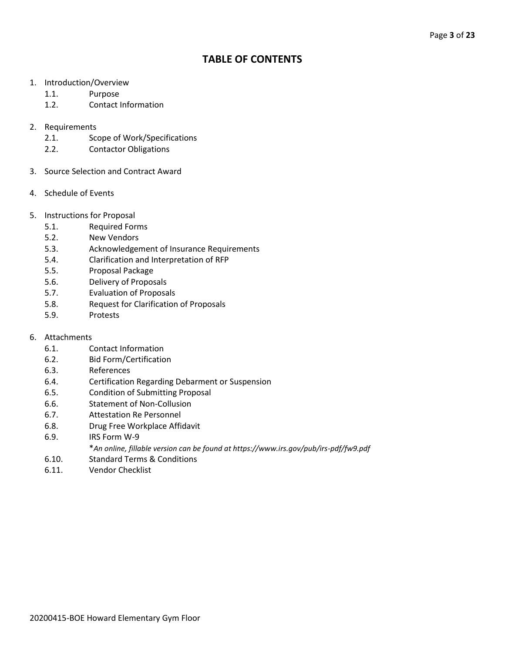# **TABLE OF CONTENTS**

- 1. Introduction/Overview
	- 1.1. Purpose
	- 1.2. Contact Information
- 2. Requirements
	- 2.1. Scope of Work/Specifications
	- 2.2. Contactor Obligations
- 3. Source Selection and Contract Award
- 4. Schedule of Events
- 5. Instructions for Proposal
	- 5.1. Required Forms
	- 5.2. New Vendors
	- 5.3. Acknowledgement of Insurance Requirements
	- 5.4. Clarification and Interpretation of RFP
	- 5.5. Proposal Package
	- 5.6. Delivery of Proposals
	- 5.7. Evaluation of Proposals
	- 5.8. Request for Clarification of Proposals
	- 5.9. Protests
- 6. Attachments
	- 6.1. Contact Information
	- 6.2. Bid Form/Certification
	- 6.3. References
	- 6.4. Certification Regarding Debarment or Suspension
	- 6.5. Condition of Submitting Proposal
	- 6.6. Statement of Non-Collusion
	- 6.7. Attestation Re Personnel
	- 6.8. Drug Free Workplace Affidavit
	- 6.9. IRS Form W-9
		- \**An online, fillable version can be found at https://www.irs.gov/pub/irs-pdf/fw9.pdf*
	- 6.10. Standard Terms & Conditions
	- 6.11. Vendor Checklist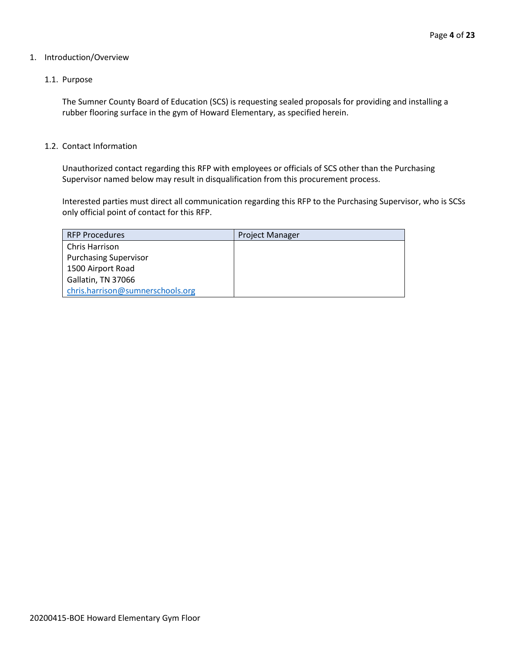#### 1. Introduction/Overview

#### 1.1. Purpose

The Sumner County Board of Education (SCS) is requesting sealed proposals for providing and installing a rubber flooring surface in the gym of Howard Elementary, as specified herein.

#### 1.2. Contact Information

Unauthorized contact regarding this RFP with employees or officials of SCS other than the Purchasing Supervisor named below may result in disqualification from this procurement process.

Interested parties must direct all communication regarding this RFP to the Purchasing Supervisor, who is SCSs only official point of contact for this RFP.

| <b>RFP Procedures</b>            | <b>Project Manager</b> |
|----------------------------------|------------------------|
| <b>Chris Harrison</b>            |                        |
| <b>Purchasing Supervisor</b>     |                        |
| 1500 Airport Road                |                        |
| Gallatin, TN 37066               |                        |
| chris.harrison@sumnerschools.org |                        |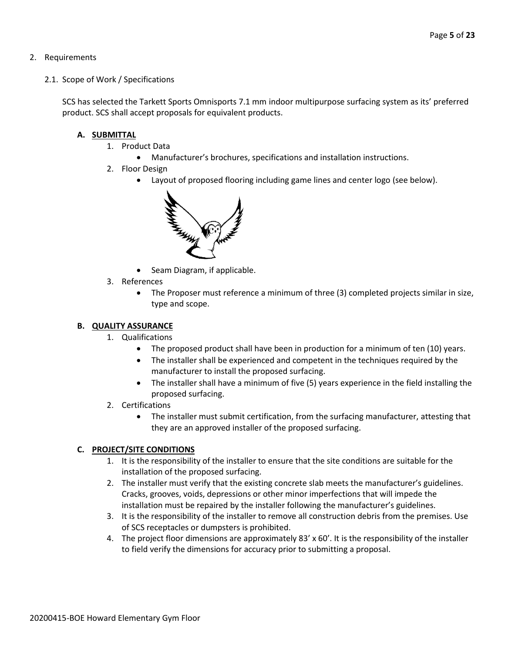#### 2. Requirements

2.1. Scope of Work / Specifications

SCS has selected the Tarkett Sports Omnisports 7.1 mm indoor multipurpose surfacing system as its' preferred product. SCS shall accept proposals for equivalent products.

#### **A. SUBMITTAL**

- 1. Product Data
	- Manufacturer's brochures, specifications and installation instructions.
- 2. Floor Design
	- Layout of proposed flooring including game lines and center logo (see below).



- Seam Diagram, if applicable.
- 3. References
	- The Proposer must reference a minimum of three (3) completed projects similar in size, type and scope.

#### **B. QUALITY ASSURANCE**

- 1. Qualifications
	- The proposed product shall have been in production for a minimum of ten (10) years.
	- The installer shall be experienced and competent in the techniques required by the manufacturer to install the proposed surfacing.
	- The installer shall have a minimum of five (5) years experience in the field installing the proposed surfacing.
- 2. Certifications
	- The installer must submit certification, from the surfacing manufacturer, attesting that they are an approved installer of the proposed surfacing.

## **C. PROJECT/SITE CONDITIONS**

- 1. It is the responsibility of the installer to ensure that the site conditions are suitable for the installation of the proposed surfacing.
- 2. The installer must verify that the existing concrete slab meets the manufacturer's guidelines. Cracks, grooves, voids, depressions or other minor imperfections that will impede the installation must be repaired by the installer following the manufacturer's guidelines.
- 3. It is the responsibility of the installer to remove all construction debris from the premises. Use of SCS receptacles or dumpsters is prohibited.
- 4. The project floor dimensions are approximately 83' x 60'. It is the responsibility of the installer to field verify the dimensions for accuracy prior to submitting a proposal.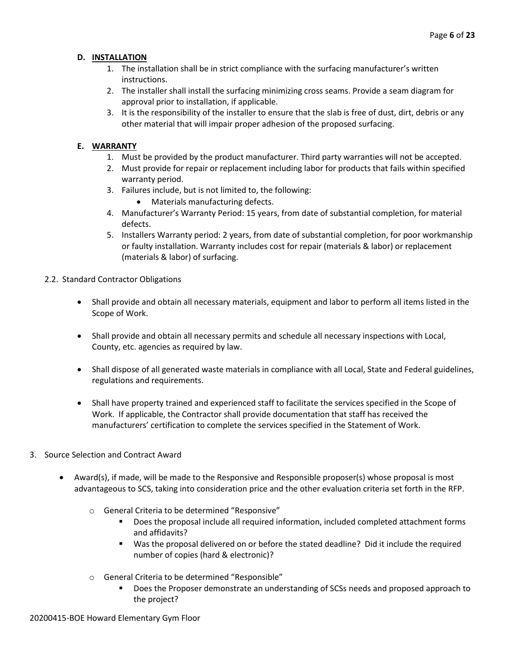## **D. INSTALLATION**

- 1. The installation shall be in strict compliance with the surfacing manufacturer's written instructions.
- 2. The installer shall install the surfacing minimizing cross seams. Provide a seam diagram for approval prior to installation, if applicable.
- 3. It is the responsibility of the installer to ensure that the slab is free of dust, dirt, debris or any other material that will impair proper adhesion of the proposed surfacing.

# **E. WARRANTY**

- 1. Must be provided by the product manufacturer. Third party warranties will not be accepted.
- 2. Must provide for repair or replacement including labor for products that fails within specified warranty period.
- 3. Failures include, but is not limited to, the following:
	- Materials manufacturing defects.
- 4. Manufacturer's Warranty Period: 15 years, from date of substantial completion, for material defects.
- 5. Installers Warranty period: 2 years, from date of substantial completion, for poor workmanship or faulty installation. Warranty includes cost for repair (materials & labor) or replacement (materials & labor) of surfacing.
- 2.2. Standard Contractor Obligations
	- Shall provide and obtain all necessary materials, equipment and labor to perform all items listed in the Scope of Work.
	- Shall provide and obtain all necessary permits and schedule all necessary inspections with Local, County, etc. agencies as required by law.
	- Shall dispose of all generated waste materials in compliance with all Local, State and Federal guidelines, regulations and requirements.
	- Shall have property trained and experienced staff to facilitate the services specified in the Scope of Work. If applicable, the Contractor shall provide documentation that staff has received the manufacturers' certification to complete the services specified in the Statement of Work.
- 3. Source Selection and Contract Award
	- Award(s), if made, will be made to the Responsive and Responsible proposer(s) whose proposal is most advantageous to SCS, taking into consideration price and the other evaluation criteria set forth in the RFP.
		- o General Criteria to be determined "Responsive"
			- Does the proposal include all required information, included completed attachment forms and affidavits?
			- Was the proposal delivered on or before the stated deadline? Did it include the required number of copies (hard & electronic)?
		- o General Criteria to be determined "Responsible"
			- Does the Proposer demonstrate an understanding of SCSs needs and proposed approach to the project?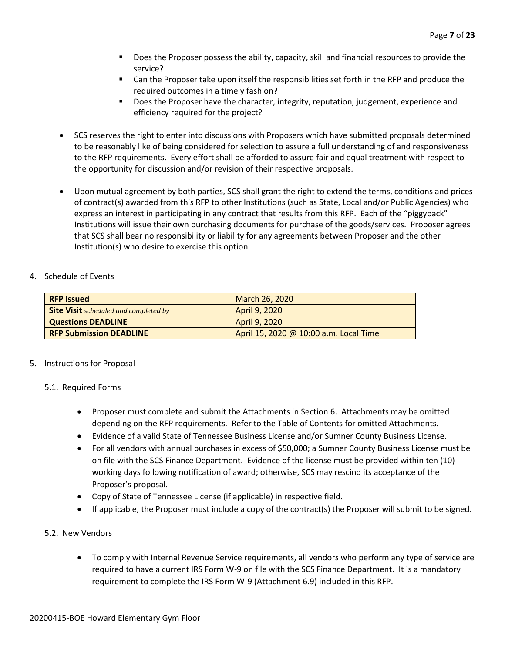- Does the Proposer possess the ability, capacity, skill and financial resources to provide the service?
- Can the Proposer take upon itself the responsibilities set forth in the RFP and produce the required outcomes in a timely fashion?
- Does the Proposer have the character, integrity, reputation, judgement, experience and efficiency required for the project?
- SCS reserves the right to enter into discussions with Proposers which have submitted proposals determined to be reasonably like of being considered for selection to assure a full understanding of and responsiveness to the RFP requirements. Every effort shall be afforded to assure fair and equal treatment with respect to the opportunity for discussion and/or revision of their respective proposals.
- Upon mutual agreement by both parties, SCS shall grant the right to extend the terms, conditions and prices of contract(s) awarded from this RFP to other Institutions (such as State, Local and/or Public Agencies) who express an interest in participating in any contract that results from this RFP. Each of the "piggyback" Institutions will issue their own purchasing documents for purchase of the goods/services. Proposer agrees that SCS shall bear no responsibility or liability for any agreements between Proposer and the other Institution(s) who desire to exercise this option.

#### 4. Schedule of Events

| <b>RFP Issued</b>                            | March 26, 2020                         |
|----------------------------------------------|----------------------------------------|
| <b>Site Visit</b> scheduled and completed by | April 9, 2020                          |
| <b>Questions DEADLINE</b>                    | April 9, 2020                          |
| <b>RFP Submission DEADLINE</b>               | April 15, 2020 @ 10:00 a.m. Local Time |

## 5. Instructions for Proposal

#### 5.1. Required Forms

- Proposer must complete and submit the Attachments in Section 6. Attachments may be omitted depending on the RFP requirements. Refer to the Table of Contents for omitted Attachments.
- Evidence of a valid State of Tennessee Business License and/or Sumner County Business License.
- For all vendors with annual purchases in excess of \$50,000; a Sumner County Business License must be on file with the SCS Finance Department. Evidence of the license must be provided within ten (10) working days following notification of award; otherwise, SCS may rescind its acceptance of the Proposer's proposal.
- Copy of State of Tennessee License (if applicable) in respective field.
- If applicable, the Proposer must include a copy of the contract(s) the Proposer will submit to be signed.

## 5.2. New Vendors

• To comply with Internal Revenue Service requirements, all vendors who perform any type of service are required to have a current IRS Form W-9 on file with the SCS Finance Department. It is a mandatory requirement to complete the IRS Form W-9 (Attachment 6.9) included in this RFP.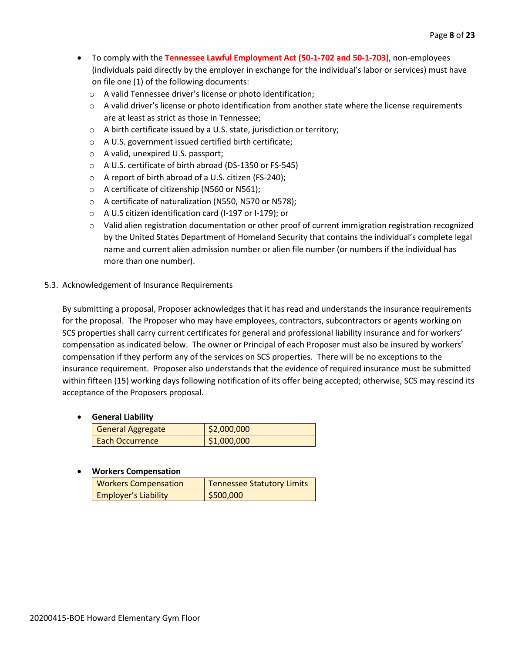- To comply with the **Tennessee Lawful Employment Act (50-1-702 and 50-1-703)**, non-employees (individuals paid directly by the employer in exchange for the individual's labor or services) must have on file one (1) of the following documents:
	- o A valid Tennessee driver's license or photo identification;
	- $\circ$  A valid driver's license or photo identification from another state where the license requirements are at least as strict as those in Tennessee;
	- o A birth certificate issued by a U.S. state, jurisdiction or territory;
	- o A U.S. government issued certified birth certificate;
	- o A valid, unexpired U.S. passport;
	- o A U.S. certificate of birth abroad (DS-1350 or FS-545)
	- o A report of birth abroad of a U.S. citizen (FS-240);
	- o A certificate of citizenship (N560 or N561);
	- o A certificate of naturalization (N550, N570 or N578);
	- o A U.S citizen identification card (I-197 or I-179); or
	- o Valid alien registration documentation or other proof of current immigration registration recognized by the United States Department of Homeland Security that contains the individual's complete legal name and current alien admission number or alien file number (or numbers if the individual has more than one number).

#### 5.3. Acknowledgement of Insurance Requirements

By submitting a proposal, Proposer acknowledges that it has read and understands the insurance requirements for the proposal. The Proposer who may have employees, contractors, subcontractors or agents working on SCS properties shall carry current certificates for general and professional liability insurance and for workers' compensation as indicated below. The owner or Principal of each Proposer must also be insured by workers' compensation if they perform any of the services on SCS properties. There will be no exceptions to the insurance requirement. Proposer also understands that the evidence of required insurance must be submitted within fifteen (15) working days following notification of its offer being accepted; otherwise, SCS may rescind its acceptance of the Proposers proposal.

#### • **General Liability**

| General Aggregate | \$2,000,000 |
|-------------------|-------------|
| Each Occurrence   | \$1,000,000 |

#### • **Workers Compensation**

| <b>Workers Compensation</b> | <b>Tennessee Statutory Limits</b> |
|-----------------------------|-----------------------------------|
| <b>Employer's Liability</b> | \$500,000                         |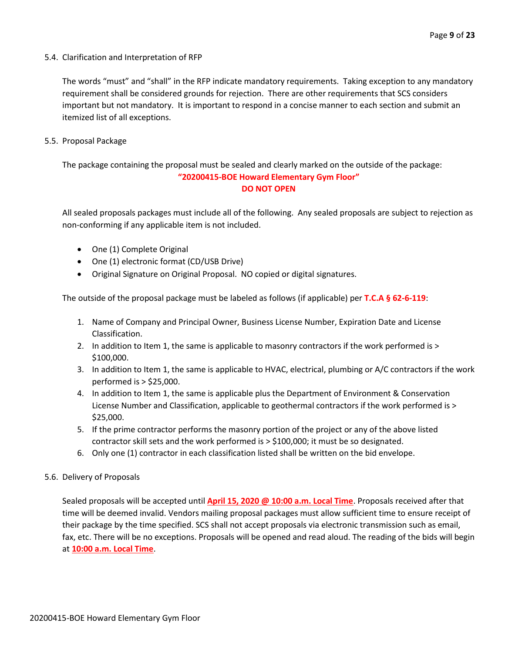5.4. Clarification and Interpretation of RFP

The words "must" and "shall" in the RFP indicate mandatory requirements. Taking exception to any mandatory requirement shall be considered grounds for rejection. There are other requirements that SCS considers important but not mandatory. It is important to respond in a concise manner to each section and submit an itemized list of all exceptions.

5.5. Proposal Package

The package containing the proposal must be sealed and clearly marked on the outside of the package: **"20200415-BOE Howard Elementary Gym Floor" DO NOT OPEN**

All sealed proposals packages must include all of the following. Any sealed proposals are subject to rejection as non-conforming if any applicable item is not included.

- One (1) Complete Original
- One (1) electronic format (CD/USB Drive)
- Original Signature on Original Proposal. NO copied or digital signatures.

The outside of the proposal package must be labeled as follows (if applicable) per **T.C.A § 62-6-119**:

- 1. Name of Company and Principal Owner, Business License Number, Expiration Date and License Classification.
- 2. In addition to Item 1, the same is applicable to masonry contractors if the work performed is > \$100,000.
- 3. In addition to Item 1, the same is applicable to HVAC, electrical, plumbing or A/C contractors if the work performed is > \$25,000.
- 4. In addition to Item 1, the same is applicable plus the Department of Environment & Conservation License Number and Classification, applicable to geothermal contractors if the work performed is > \$25,000.
- 5. If the prime contractor performs the masonry portion of the project or any of the above listed contractor skill sets and the work performed is > \$100,000; it must be so designated.
- 6. Only one (1) contractor in each classification listed shall be written on the bid envelope.
- 5.6. Delivery of Proposals

Sealed proposals will be accepted until **April 15, 2020 @ 10:00 a.m. Local Time**. Proposals received after that time will be deemed invalid. Vendors mailing proposal packages must allow sufficient time to ensure receipt of their package by the time specified. SCS shall not accept proposals via electronic transmission such as email, fax, etc. There will be no exceptions. Proposals will be opened and read aloud. The reading of the bids will begin at **10:00 a.m. Local Time**.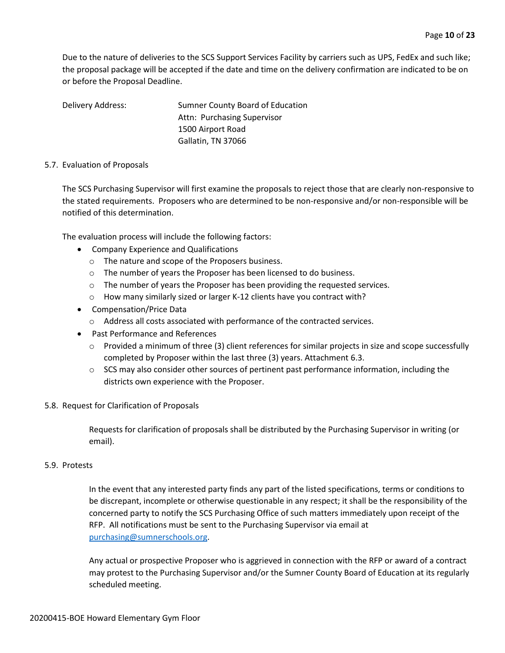Due to the nature of deliveries to the SCS Support Services Facility by carriers such as UPS, FedEx and such like; the proposal package will be accepted if the date and time on the delivery confirmation are indicated to be on or before the Proposal Deadline.

Delivery Address: Sumner County Board of Education Attn: Purchasing Supervisor 1500 Airport Road Gallatin, TN 37066

#### 5.7. Evaluation of Proposals

The SCS Purchasing Supervisor will first examine the proposals to reject those that are clearly non-responsive to the stated requirements. Proposers who are determined to be non-responsive and/or non-responsible will be notified of this determination.

The evaluation process will include the following factors:

- Company Experience and Qualifications
	- o The nature and scope of the Proposers business.
	- o The number of years the Proposer has been licensed to do business.
	- o The number of years the Proposer has been providing the requested services.
	- o How many similarly sized or larger K-12 clients have you contract with?
- Compensation/Price Data
	- o Address all costs associated with performance of the contracted services.
- Past Performance and References
	- $\circ$  Provided a minimum of three (3) client references for similar projects in size and scope successfully completed by Proposer within the last three (3) years. Attachment 6.3.
	- $\circ$  SCS may also consider other sources of pertinent past performance information, including the districts own experience with the Proposer.

#### 5.8. Request for Clarification of Proposals

Requests for clarification of proposals shall be distributed by the Purchasing Supervisor in writing (or email).

#### 5.9. Protests

In the event that any interested party finds any part of the listed specifications, terms or conditions to be discrepant, incomplete or otherwise questionable in any respect; it shall be the responsibility of the concerned party to notify the SCS Purchasing Office of such matters immediately upon receipt of the RFP. All notifications must be sent to the Purchasing Supervisor via email at [purchasing@sumnerschools.org.](mailto:purchasing@sumnerschools.org)

Any actual or prospective Proposer who is aggrieved in connection with the RFP or award of a contract may protest to the Purchasing Supervisor and/or the Sumner County Board of Education at its regularly scheduled meeting.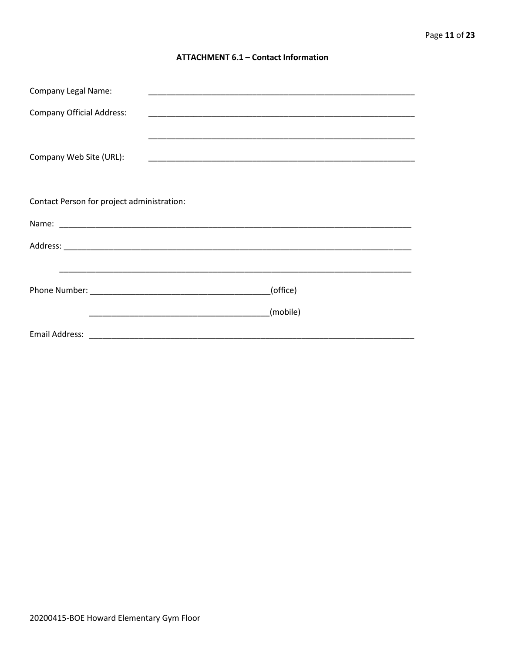#### **ATTACHMENT 6.1 - Contact Information**

| <b>Company Legal Name:</b>                 | <u> 1989 - Johann John Stein, marwolaeth a brenin a brenin a brenin a brenin a brenin a brenin a brenin a brenin</u> |
|--------------------------------------------|----------------------------------------------------------------------------------------------------------------------|
| <b>Company Official Address:</b>           |                                                                                                                      |
|                                            |                                                                                                                      |
| Company Web Site (URL):                    |                                                                                                                      |
|                                            |                                                                                                                      |
|                                            |                                                                                                                      |
| Contact Person for project administration: |                                                                                                                      |
|                                            |                                                                                                                      |
|                                            |                                                                                                                      |
|                                            |                                                                                                                      |
|                                            | (office)                                                                                                             |
|                                            | (mobile)                                                                                                             |
|                                            |                                                                                                                      |
|                                            |                                                                                                                      |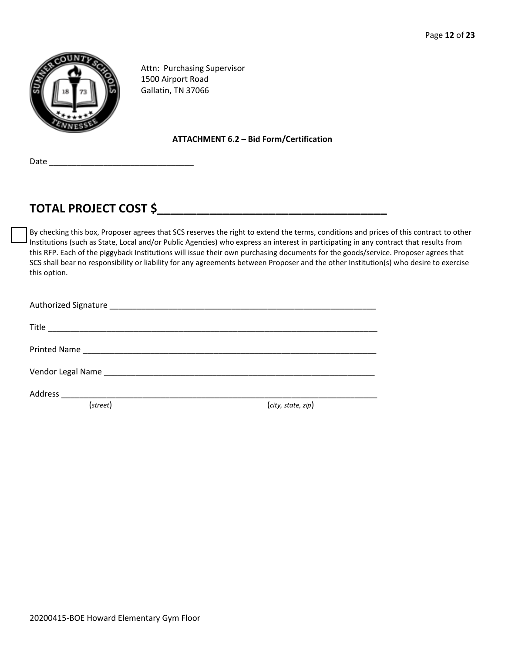

Attn: Purchasing Supervisor 1500 Airport Road Gallatin, TN 37066

#### **ATTACHMENT 6.2 – Bid Form/Certification**

Date  $_$ 

# **TOTAL PROJECT COST \$\_\_\_\_\_\_\_\_\_\_\_\_\_\_\_\_\_\_\_\_\_\_\_\_\_\_\_\_\_\_\_\_\_\_\_**

By checking this box, Proposer agrees that SCS reserves the right to extend the terms, conditions and prices of this contract to other Institutions (such as State, Local and/or Public Agencies) who express an interest in participating in any contract that results from this RFP. Each of the piggyback Institutions will issue their own purchasing documents for the goods/service. Proposer agrees that SCS shall bear no responsibility or liability for any agreements between Proposer and the other Institution(s) who desire to exercise this option.

| (street) | (city, state, zip) |
|----------|--------------------|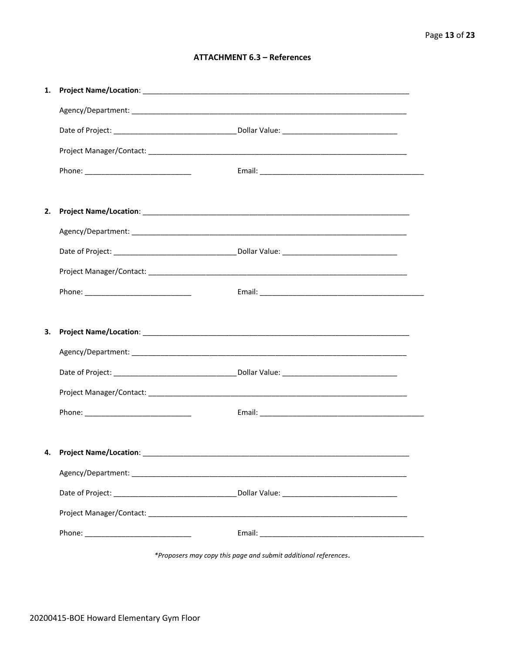#### **ATTACHMENT 6.3 - References**

| 1. |                                    |  |
|----|------------------------------------|--|
|    |                                    |  |
|    |                                    |  |
|    |                                    |  |
|    |                                    |  |
|    |                                    |  |
| 2. |                                    |  |
|    |                                    |  |
|    |                                    |  |
|    |                                    |  |
|    |                                    |  |
|    |                                    |  |
| З. |                                    |  |
|    |                                    |  |
|    |                                    |  |
|    |                                    |  |
|    |                                    |  |
|    |                                    |  |
|    | 4. Project Name/Location: ________ |  |
|    |                                    |  |
|    |                                    |  |
|    |                                    |  |
|    |                                    |  |
|    |                                    |  |

\*Proposers may copy this page and submit additional references.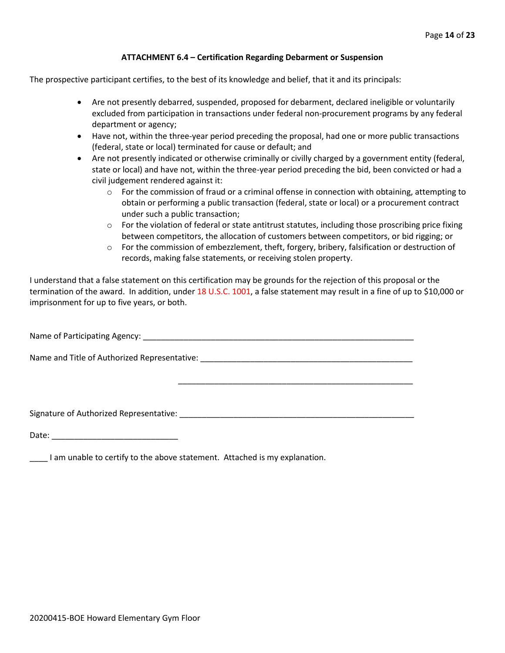#### **ATTACHMENT 6.4 – Certification Regarding Debarment or Suspension**

The prospective participant certifies, to the best of its knowledge and belief, that it and its principals:

- Are not presently debarred, suspended, proposed for debarment, declared ineligible or voluntarily excluded from participation in transactions under federal non-procurement programs by any federal department or agency;
- Have not, within the three-year period preceding the proposal, had one or more public transactions (federal, state or local) terminated for cause or default; and
- Are not presently indicated or otherwise criminally or civilly charged by a government entity (federal, state or local) and have not, within the three-year period preceding the bid, been convicted or had a civil judgement rendered against it:
	- $\circ$  For the commission of fraud or a criminal offense in connection with obtaining, attempting to obtain or performing a public transaction (federal, state or local) or a procurement contract under such a public transaction;
	- $\circ$  For the violation of federal or state antitrust statutes, including those proscribing price fixing between competitors, the allocation of customers between competitors, or bid rigging; or
	- $\circ$  For the commission of embezzlement, theft, forgery, bribery, falsification or destruction of records, making false statements, or receiving stolen property.

\_\_\_\_\_\_\_\_\_\_\_\_\_\_\_\_\_\_\_\_\_\_\_\_\_\_\_\_\_\_\_\_\_\_\_\_\_\_\_\_\_\_\_\_\_\_\_\_\_\_\_\_

I understand that a false statement on this certification may be grounds for the rejection of this proposal or the termination of the award. In addition, under 18 U.S.C. 1001, a false statement may result in a fine of up to \$10,000 or imprisonment for up to five years, or both.

Name of Participating Agency: \_\_\_\_\_\_\_\_\_\_\_\_\_\_\_\_\_\_\_\_\_\_\_\_\_\_\_\_\_\_\_\_\_\_\_\_\_\_\_\_\_\_\_\_\_\_\_\_\_\_\_\_\_\_\_\_\_\_\_\_

Name and Title of Authorized Representative: \_\_\_\_\_\_\_\_\_\_\_\_\_\_\_\_\_\_\_\_\_\_\_\_\_\_\_\_\_\_\_\_\_\_\_

Signature of Authorized Representative: \_\_\_\_\_\_\_\_\_\_\_\_\_\_\_\_\_\_\_\_\_\_\_\_\_\_\_\_\_\_\_\_\_\_\_\_\_\_\_\_\_\_\_\_\_\_\_\_\_\_\_\_

Date: \_\_\_\_\_\_\_\_\_\_\_\_\_\_\_\_\_\_\_\_\_\_\_\_\_\_\_\_

\_\_\_\_ I am unable to certify to the above statement. Attached is my explanation.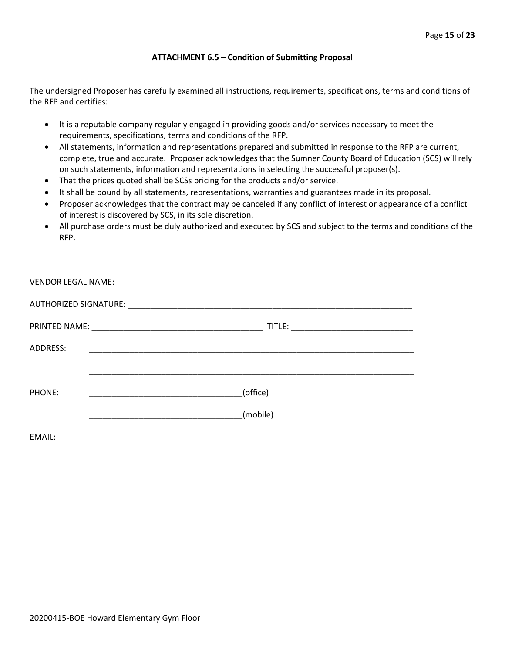#### **ATTACHMENT 6.5 – Condition of Submitting Proposal**

The undersigned Proposer has carefully examined all instructions, requirements, specifications, terms and conditions of the RFP and certifies:

- It is a reputable company regularly engaged in providing goods and/or services necessary to meet the requirements, specifications, terms and conditions of the RFP.
- All statements, information and representations prepared and submitted in response to the RFP are current, complete, true and accurate. Proposer acknowledges that the Sumner County Board of Education (SCS) will rely on such statements, information and representations in selecting the successful proposer(s).
- That the prices quoted shall be SCSs pricing for the products and/or service.
- It shall be bound by all statements, representations, warranties and guarantees made in its proposal.
- Proposer acknowledges that the contract may be canceled if any conflict of interest or appearance of a conflict of interest is discovered by SCS, in its sole discretion.
- All purchase orders must be duly authorized and executed by SCS and subject to the terms and conditions of the RFP.

| ADDRESS: |                                                     |  |
|----------|-----------------------------------------------------|--|
|          |                                                     |  |
| PHONE:   | (office)<br><u> 1990 - Johann Barbara, martin a</u> |  |
|          | (mobile)                                            |  |
| EMAIL:   |                                                     |  |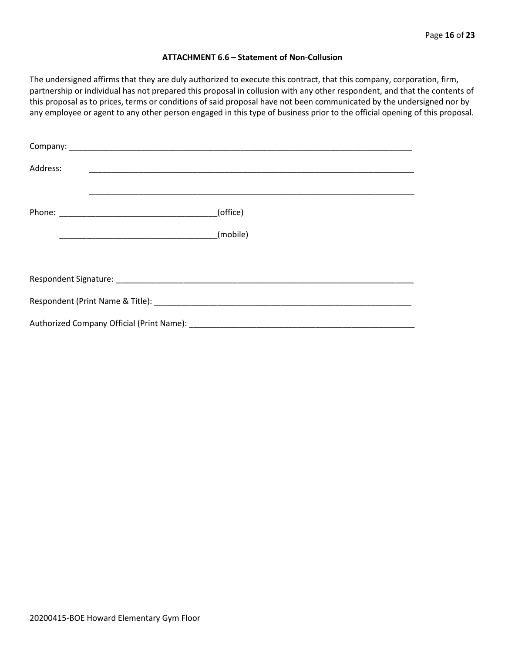#### **ATTACHMENT 6.6 – Statement of Non-Collusion**

The undersigned affirms that they are duly authorized to execute this contract, that this company, corporation, firm, partnership or individual has not prepared this proposal in collusion with any other respondent, and that the contents of this proposal as to prices, terms or conditions of said proposal have not been communicated by the undersigned nor by any employee or agent to any other person engaged in this type of business prior to the official opening of this proposal.

| Address: |          |
|----------|----------|
|          | (office) |
|          | (mobile) |
|          |          |
|          |          |
|          |          |
|          |          |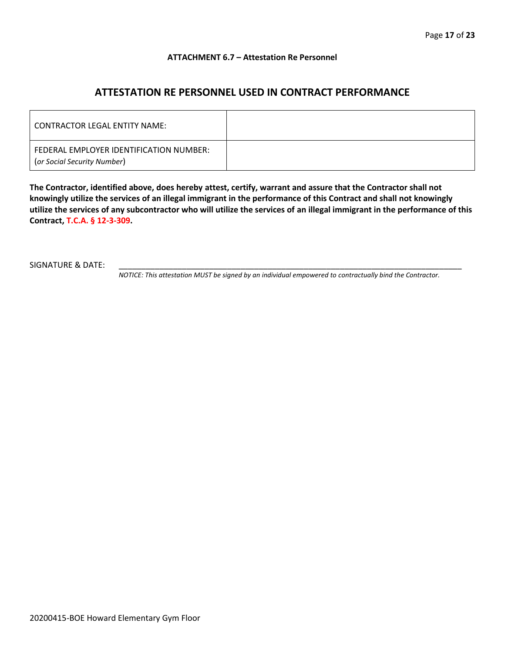#### **ATTACHMENT 6.7 – Attestation Re Personnel**

# **ATTESTATION RE PERSONNEL USED IN CONTRACT PERFORMANCE**

| CONTRACTOR LEGAL ENTITY NAME:                                          |  |
|------------------------------------------------------------------------|--|
| FEDERAL EMPLOYER IDENTIFICATION NUMBER:<br>(or Social Security Number) |  |

**The Contractor, identified above, does hereby attest, certify, warrant and assure that the Contractor shall not knowingly utilize the services of an illegal immigrant in the performance of this Contract and shall not knowingly utilize the services of any subcontractor who will utilize the services of an illegal immigrant in the performance of this Contract, T.C.A. § 12-3-309.**

SIGNATURE & DATE:

*NOTICE: This attestation MUST be signed by an individual empowered to contractually bind the Contractor.*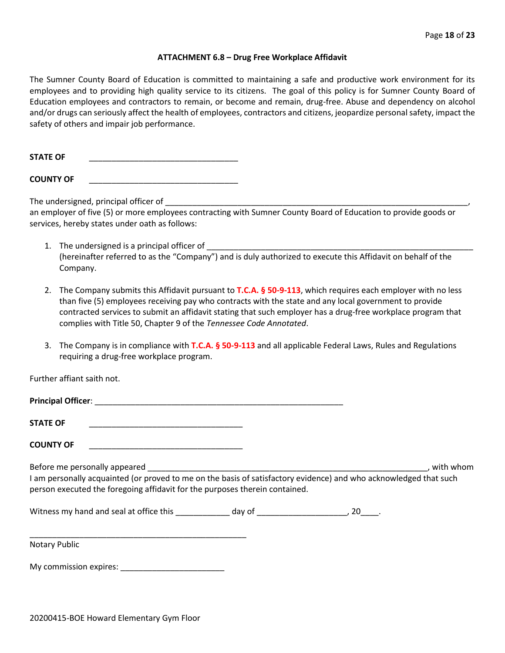#### **ATTACHMENT 6.8 – Drug Free Workplace Affidavit**

The Sumner County Board of Education is committed to maintaining a safe and productive work environment for its employees and to providing high quality service to its citizens. The goal of this policy is for Sumner County Board of Education employees and contractors to remain, or become and remain, drug-free. Abuse and dependency on alcohol and/or drugs can seriously affect the health of employees, contractors and citizens, jeopardize personal safety, impact the safety of others and impair job performance.

STATE OF

**COUNTY OF** \_\_\_\_\_\_\_\_\_\_\_\_\_\_\_\_\_\_\_\_\_\_\_\_\_\_\_\_\_\_\_\_\_

The undersigned, principal officer of

an employer of five (5) or more employees contracting with Sumner County Board of Education to provide goods or services, hereby states under oath as follows:

- 1. The undersigned is a principal officer of (hereinafter referred to as the "Company") and is duly authorized to execute this Affidavit on behalf of the Company.
- 2. The Company submits this Affidavit pursuant to **T.C.A. § 50-9-113**, which requires each employer with no less than five (5) employees receiving pay who contracts with the state and any local government to provide contracted services to submit an affidavit stating that such employer has a drug-free workplace program that complies with Title 50, Chapter 9 of the *Tennessee Code Annotated*.
- 3. The Company is in compliance with **T.C.A. § 50-9-113** and all applicable Federal Laws, Rules and Regulations requiring a drug-free workplace program.

Further affiant saith not.

| Principal Officer: |  |
|--------------------|--|
|                    |  |
| <b>STATE OF</b>    |  |

**COUNTY OF** \_\_\_\_\_\_\_\_\_\_\_\_\_\_\_\_\_\_\_\_\_\_\_\_\_\_\_\_\_\_\_\_\_\_

Before me personally appeared \_\_\_\_\_\_\_\_\_\_\_\_\_\_\_\_\_\_\_\_\_\_\_\_\_\_\_\_\_\_\_\_\_\_\_\_\_\_\_\_\_\_\_\_\_\_\_\_\_\_\_\_\_\_\_\_\_\_\_\_\_\_, with whom I am personally acquainted (or proved to me on the basis of satisfactory evidence) and who acknowledged that such person executed the foregoing affidavit for the purposes therein contained.

Witness my hand and seal at office this \_\_\_\_\_\_\_\_\_\_\_\_\_ day of \_\_\_\_\_\_\_\_\_\_\_\_\_\_\_\_\_\_\_\_, 20\_\_\_\_.

\_\_\_\_\_\_\_\_\_\_\_\_\_\_\_\_\_\_\_\_\_\_\_\_\_\_\_\_\_\_\_\_\_\_\_\_\_\_\_\_\_\_\_\_\_\_\_\_ Notary Public

My commission expires: \_\_\_\_\_\_\_\_\_\_\_\_\_\_\_\_\_\_\_\_\_\_\_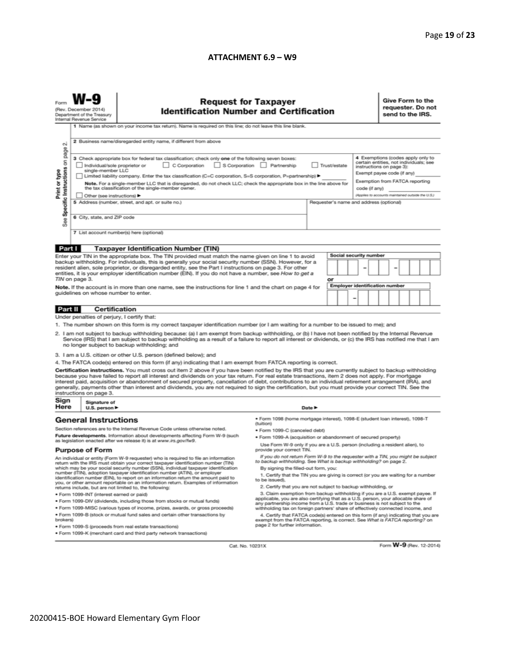#### **ATTACHMENT 6.9 – W9**

|                                                                                                                                                                                                                                                                                                                                                                                                                                                                                                                                                                                                                                                                                                                                              | <b>Request for Taxpayer</b><br>(Rev. December 2014)<br><b>Identification Number and Certification</b><br>Department of the Treasury<br>Internal Revenue Service<br>1 Name (as shown on your income tax return). Name is required on this line; do not leave this line blank.                                                                                                                                                                                                                                                           |                                                                                                                                                                                                                                                                                                                                                                                                                                                                                                                                                                                                                               |                                                                                                                                                                                             |        |    |  |   |                                       | Give Form to the<br>requester. Do not<br>send to the IRS.                                                                                                               |  |  |  |  |  |  |
|----------------------------------------------------------------------------------------------------------------------------------------------------------------------------------------------------------------------------------------------------------------------------------------------------------------------------------------------------------------------------------------------------------------------------------------------------------------------------------------------------------------------------------------------------------------------------------------------------------------------------------------------------------------------------------------------------------------------------------------------|----------------------------------------------------------------------------------------------------------------------------------------------------------------------------------------------------------------------------------------------------------------------------------------------------------------------------------------------------------------------------------------------------------------------------------------------------------------------------------------------------------------------------------------|-------------------------------------------------------------------------------------------------------------------------------------------------------------------------------------------------------------------------------------------------------------------------------------------------------------------------------------------------------------------------------------------------------------------------------------------------------------------------------------------------------------------------------------------------------------------------------------------------------------------------------|---------------------------------------------------------------------------------------------------------------------------------------------------------------------------------------------|--------|----|--|---|---------------------------------------|-------------------------------------------------------------------------------------------------------------------------------------------------------------------------|--|--|--|--|--|--|
| 2 Business name/disregarded entity name, if different from above<br>$\sim$                                                                                                                                                                                                                                                                                                                                                                                                                                                                                                                                                                                                                                                                   |                                                                                                                                                                                                                                                                                                                                                                                                                                                                                                                                        |                                                                                                                                                                                                                                                                                                                                                                                                                                                                                                                                                                                                                               |                                                                                                                                                                                             |        |    |  |   |                                       |                                                                                                                                                                         |  |  |  |  |  |  |
| Specific Instructions on page<br>Print or type                                                                                                                                                                                                                                                                                                                                                                                                                                                                                                                                                                                                                                                                                               | 3 Check appropriate box for federal tax classification; check only one of the following seven boxes:<br>C Corporation<br>S Corporation Partnership<br>Trust/estate<br>Individual/sole proprietor or<br>single-member LLC<br>Limited liability company. Enter the tax classification (C=C corporation, S=S corporation, P=partnership) ▶<br>Note. For a single-member LLC that is disregarded, do not check LLC; check the appropriate box in the line above for<br>the tax classification of the single-member owner.<br>code (if any) |                                                                                                                                                                                                                                                                                                                                                                                                                                                                                                                                                                                                                               |                                                                                                                                                                                             |        |    |  |   |                                       | 4 Exemptions (codes apply only to<br>certain entities, not individuals; see<br>instructions on page 3):<br>Exempt payee code (if any)<br>Exemption from FATCA reporting |  |  |  |  |  |  |
| See                                                                                                                                                                                                                                                                                                                                                                                                                                                                                                                                                                                                                                                                                                                                          | Other (see instructions) ▶<br>5 Address (number, street, and apt. or suite no.)<br>Requester's name and address (optional)<br>6 City, state, and ZIP code                                                                                                                                                                                                                                                                                                                                                                              |                                                                                                                                                                                                                                                                                                                                                                                                                                                                                                                                                                                                                               |                                                                                                                                                                                             |        |    |  |   |                                       | (Applies to accounts maintained outside the U.S.)                                                                                                                       |  |  |  |  |  |  |
|                                                                                                                                                                                                                                                                                                                                                                                                                                                                                                                                                                                                                                                                                                                                              |                                                                                                                                                                                                                                                                                                                                                                                                                                                                                                                                        | 7 List account number(s) here (optional)                                                                                                                                                                                                                                                                                                                                                                                                                                                                                                                                                                                      |                                                                                                                                                                                             |        |    |  |   |                                       |                                                                                                                                                                         |  |  |  |  |  |  |
| Part I                                                                                                                                                                                                                                                                                                                                                                                                                                                                                                                                                                                                                                                                                                                                       |                                                                                                                                                                                                                                                                                                                                                                                                                                                                                                                                        | <b>Taxpayer Identification Number (TIN)</b>                                                                                                                                                                                                                                                                                                                                                                                                                                                                                                                                                                                   |                                                                                                                                                                                             |        |    |  |   |                                       |                                                                                                                                                                         |  |  |  |  |  |  |
| <b>Social security number</b><br>Enter your TIN in the appropriate box. The TIN provided must match the name given on line 1 to avoid<br>backup withholding. For individuals, this is generally your social security number (SSN). However, for a<br>resident alien, sole proprietor, or disregarded entity, see the Part I instructions on page 3. For other<br>entities, it is your employer identification number (EIN). If you do not have a number, see How to get a<br>TIN on page 3.                                                                                                                                                                                                                                                  |                                                                                                                                                                                                                                                                                                                                                                                                                                                                                                                                        |                                                                                                                                                                                                                                                                                                                                                                                                                                                                                                                                                                                                                               |                                                                                                                                                                                             |        |    |  |   |                                       |                                                                                                                                                                         |  |  |  |  |  |  |
|                                                                                                                                                                                                                                                                                                                                                                                                                                                                                                                                                                                                                                                                                                                                              |                                                                                                                                                                                                                                                                                                                                                                                                                                                                                                                                        |                                                                                                                                                                                                                                                                                                                                                                                                                                                                                                                                                                                                                               |                                                                                                                                                                                             |        | or |  |   | <b>Employer identification number</b> |                                                                                                                                                                         |  |  |  |  |  |  |
|                                                                                                                                                                                                                                                                                                                                                                                                                                                                                                                                                                                                                                                                                                                                              | guidelines on whose number to enter.                                                                                                                                                                                                                                                                                                                                                                                                                                                                                                   | Note. If the account is in more than one name, see the instructions for line 1 and the chart on page 4 for                                                                                                                                                                                                                                                                                                                                                                                                                                                                                                                    |                                                                                                                                                                                             |        |    |  | - |                                       |                                                                                                                                                                         |  |  |  |  |  |  |
| Part II                                                                                                                                                                                                                                                                                                                                                                                                                                                                                                                                                                                                                                                                                                                                      |                                                                                                                                                                                                                                                                                                                                                                                                                                                                                                                                        | Certification                                                                                                                                                                                                                                                                                                                                                                                                                                                                                                                                                                                                                 |                                                                                                                                                                                             |        |    |  |   |                                       |                                                                                                                                                                         |  |  |  |  |  |  |
|                                                                                                                                                                                                                                                                                                                                                                                                                                                                                                                                                                                                                                                                                                                                              | Under penalties of perjury, I certify that:                                                                                                                                                                                                                                                                                                                                                                                                                                                                                            |                                                                                                                                                                                                                                                                                                                                                                                                                                                                                                                                                                                                                               |                                                                                                                                                                                             |        |    |  |   |                                       |                                                                                                                                                                         |  |  |  |  |  |  |
| 1. The number shown on this form is my correct taxpayer identification number (or I am waiting for a number to be issued to me); and<br>2. I am not subject to backup withholding because: (a) I am exempt from backup withholding, or (b) I have not been notified by the Internal Revenue<br>Service (IRS) that I am subject to backup withholding as a result of a failure to report all interest or dividends, or (c) the IRS has notified me that I am<br>no longer subject to backup withholding; and                                                                                                                                                                                                                                  |                                                                                                                                                                                                                                                                                                                                                                                                                                                                                                                                        |                                                                                                                                                                                                                                                                                                                                                                                                                                                                                                                                                                                                                               |                                                                                                                                                                                             |        |    |  |   |                                       |                                                                                                                                                                         |  |  |  |  |  |  |
|                                                                                                                                                                                                                                                                                                                                                                                                                                                                                                                                                                                                                                                                                                                                              |                                                                                                                                                                                                                                                                                                                                                                                                                                                                                                                                        | 3. I am a U.S. citizen or other U.S. person (defined below); and                                                                                                                                                                                                                                                                                                                                                                                                                                                                                                                                                              |                                                                                                                                                                                             |        |    |  |   |                                       |                                                                                                                                                                         |  |  |  |  |  |  |
|                                                                                                                                                                                                                                                                                                                                                                                                                                                                                                                                                                                                                                                                                                                                              |                                                                                                                                                                                                                                                                                                                                                                                                                                                                                                                                        | 4. The FATCA code(s) entered on this form (if any) indicating that I am exempt from FATCA reporting is correct.                                                                                                                                                                                                                                                                                                                                                                                                                                                                                                               |                                                                                                                                                                                             |        |    |  |   |                                       |                                                                                                                                                                         |  |  |  |  |  |  |
|                                                                                                                                                                                                                                                                                                                                                                                                                                                                                                                                                                                                                                                                                                                                              | instructions on page 3.                                                                                                                                                                                                                                                                                                                                                                                                                                                                                                                | Certification instructions. You must cross out item 2 above if you have been notified by the IRS that you are currently subject to backup withholding<br>because you have failed to report all interest and dividends on your tax return. For real estate transactions, item 2 does not apply. For mortgage<br>interest paid, acquisition or abandonment of secured property, cancellation of debt, contributions to an individual retirement arrangement (IRA), and<br>generally, payments other than interest and dividends, you are not required to sign the certification, but you must provide your correct TIN. See the |                                                                                                                                                                                             |        |    |  |   |                                       |                                                                                                                                                                         |  |  |  |  |  |  |
| Sign<br>Here                                                                                                                                                                                                                                                                                                                                                                                                                                                                                                                                                                                                                                                                                                                                 | Signature of<br>U.S. person $\blacktriangleright$                                                                                                                                                                                                                                                                                                                                                                                                                                                                                      |                                                                                                                                                                                                                                                                                                                                                                                                                                                                                                                                                                                                                               |                                                                                                                                                                                             | Date P |    |  |   |                                       |                                                                                                                                                                         |  |  |  |  |  |  |
|                                                                                                                                                                                                                                                                                                                                                                                                                                                                                                                                                                                                                                                                                                                                              | <b>General Instructions</b>                                                                                                                                                                                                                                                                                                                                                                                                                                                                                                            |                                                                                                                                                                                                                                                                                                                                                                                                                                                                                                                                                                                                                               | ● Form 1098 (home mortgage interest), 1098-E (student loan interest), 1098-T<br>(tuition)                                                                                                   |        |    |  |   |                                       |                                                                                                                                                                         |  |  |  |  |  |  |
|                                                                                                                                                                                                                                                                                                                                                                                                                                                                                                                                                                                                                                                                                                                                              |                                                                                                                                                                                                                                                                                                                                                                                                                                                                                                                                        | Section references are to the Internal Revenue Code unless otherwise noted.<br>Future developments. Information about developments affecting Form W-9 (such                                                                                                                                                                                                                                                                                                                                                                                                                                                                   | · Form 1099-C (canceled debt)                                                                                                                                                               |        |    |  |   |                                       |                                                                                                                                                                         |  |  |  |  |  |  |
|                                                                                                                                                                                                                                                                                                                                                                                                                                                                                                                                                                                                                                                                                                                                              |                                                                                                                                                                                                                                                                                                                                                                                                                                                                                                                                        | as legislation enacted after we release it) is at www.irs.gov/fw9.                                                                                                                                                                                                                                                                                                                                                                                                                                                                                                                                                            | . Form 1099-A (acquisition or abandonment of secured property)                                                                                                                              |        |    |  |   |                                       |                                                                                                                                                                         |  |  |  |  |  |  |
| <b>Purpose of Form</b>                                                                                                                                                                                                                                                                                                                                                                                                                                                                                                                                                                                                                                                                                                                       |                                                                                                                                                                                                                                                                                                                                                                                                                                                                                                                                        |                                                                                                                                                                                                                                                                                                                                                                                                                                                                                                                                                                                                                               | Use Form W-9 only if you are a U.S. person (including a resident alien), to<br>provide your correct TIN.<br>If you do not return Form W-9 to the requester with a TIN, you might be subject |        |    |  |   |                                       |                                                                                                                                                                         |  |  |  |  |  |  |
| An individual or entity (Form W-9 requester) who is required to file an information<br>to backup withholding. See What is backup withholding? on page 2.<br>return with the IRS must obtain your correct taxpayer identification number (TIN)<br>which may be your social security number (SSN), individual taxpayer identification<br>By signing the filled-out form, you:<br>number (ITIN), adoption taxpayer identification number (ATIN), or employer<br>1. Certify that the TIN you are giving is correct (or you are waiting for a number<br>identification number (EIN), to report on an information return the amount paid to<br>to be issued).<br>you, or other amount reportable on an information return. Examples of information |                                                                                                                                                                                                                                                                                                                                                                                                                                                                                                                                        |                                                                                                                                                                                                                                                                                                                                                                                                                                                                                                                                                                                                                               |                                                                                                                                                                                             |        |    |  |   |                                       |                                                                                                                                                                         |  |  |  |  |  |  |
|                                                                                                                                                                                                                                                                                                                                                                                                                                                                                                                                                                                                                                                                                                                                              | returns include, but are not limited to, the following:                                                                                                                                                                                                                                                                                                                                                                                                                                                                                | 2. Certify that you are not subject to backup withholding, or                                                                                                                                                                                                                                                                                                                                                                                                                                                                                                                                                                 |                                                                                                                                                                                             |        |    |  |   |                                       |                                                                                                                                                                         |  |  |  |  |  |  |
| 3. Claim exemption from backup withholding if you are a U.S. exempt payee. If<br>· Form 1099-INT (interest earned or paid)<br>applicable, you are also certifying that as a U.S. person, your allocable share of<br>. Form 1099-DIV (dividends, including those from stocks or mutual funds)                                                                                                                                                                                                                                                                                                                                                                                                                                                 |                                                                                                                                                                                                                                                                                                                                                                                                                                                                                                                                        |                                                                                                                                                                                                                                                                                                                                                                                                                                                                                                                                                                                                                               |                                                                                                                                                                                             |        |    |  |   |                                       |                                                                                                                                                                         |  |  |  |  |  |  |
|                                                                                                                                                                                                                                                                                                                                                                                                                                                                                                                                                                                                                                                                                                                                              |                                                                                                                                                                                                                                                                                                                                                                                                                                                                                                                                        | any partnership income from a U.S. trade or business is not subject to the                                                                                                                                                                                                                                                                                                                                                                                                                                                                                                                                                    |                                                                                                                                                                                             |        |    |  |   |                                       |                                                                                                                                                                         |  |  |  |  |  |  |
| brokers)                                                                                                                                                                                                                                                                                                                                                                                                                                                                                                                                                                                                                                                                                                                                     | . Form 1099-MISC (various types of income, prizes, awards, or gross proceeds)<br>. Form 1099-B (stock or mutual fund sales and certain other transactions by                                                                                                                                                                                                                                                                                                                                                                           | withholding tax on foreign partners' share of effectively connected income, and<br>4. Certify that FATCA code(s) entered on this form (if any) indicating that you are<br>exempt from the FATCA reporting, is correct. See What is FATCA reporting? on                                                                                                                                                                                                                                                                                                                                                                        |                                                                                                                                                                                             |        |    |  |   |                                       |                                                                                                                                                                         |  |  |  |  |  |  |
| page 2 for further information.<br>· Form 1099-S (proceeds from real estate transactions)<br>. Form 1099-K (merchant card and third party network transactions)                                                                                                                                                                                                                                                                                                                                                                                                                                                                                                                                                                              |                                                                                                                                                                                                                                                                                                                                                                                                                                                                                                                                        |                                                                                                                                                                                                                                                                                                                                                                                                                                                                                                                                                                                                                               |                                                                                                                                                                                             |        |    |  |   |                                       |                                                                                                                                                                         |  |  |  |  |  |  |

Cat. No. 10231X

Form **W-9** (Rev. 12-2014)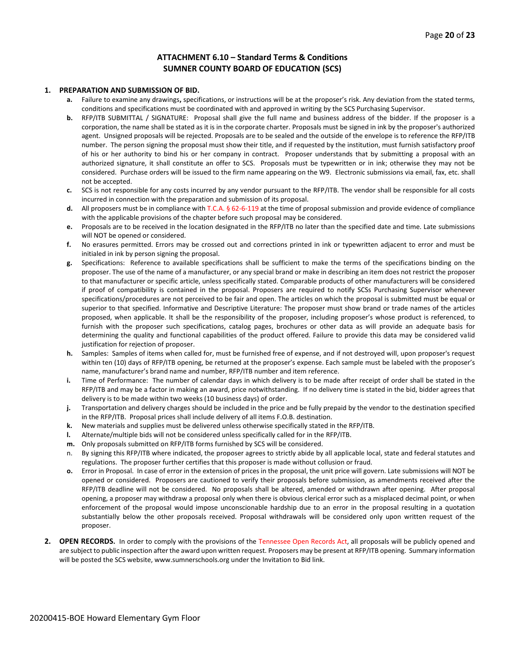#### **ATTACHMENT 6.10 – Standard Terms & Conditions SUMNER COUNTY BOARD OF EDUCATION (SCS)**

#### **1. PREPARATION AND SUBMISSION OF BID.**

- **a.** Failure to examine any drawings**,** specifications, or instructions will be at the proposer's risk. Any deviation from the stated terms, conditions and specifications must be coordinated with and approved in writing by the SCS Purchasing Supervisor.
- **b.** RFP/ITB SUBMITTAL / SIGNATURE: Proposal shall give the full name and business address of the bidder. If the proposer is a corporation, the name shall be stated as it is in the corporate charter. Proposals must be signed in ink by the proposer's authorized agent. Unsigned proposals will be rejected. Proposals are to be sealed and the outside of the envelope is to reference the RFP/ITB number. The person signing the proposal must show their title, and if requested by the institution, must furnish satisfactory proof of his or her authority to bind his or her company in contract. Proposer understands that by submitting a proposal with an authorized signature, it shall constitute an offer to SCS. Proposals must be typewritten or in ink; otherwise they may not be considered. Purchase orders will be issued to the firm name appearing on the W9. Electronic submissions via email, fax, etc. shall not be accepted.
- **c.** SCS is not responsible for any costs incurred by any vendor pursuant to the RFP/ITB. The vendor shall be responsible for all costs incurred in connection with the preparation and submission of its proposal.
- **d.** All proposers must be in compliance with T.C.A. § 62-6-119 at the time of proposal submission and provide evidence of compliance with the applicable provisions of the chapter before such proposal may be considered.
- **e.** Proposals are to be received in the location designated in the RFP/ITB no later than the specified date and time. Late submissions will NOT be opened or considered.
- **f.** No erasures permitted. Errors may be crossed out and corrections printed in ink or typewritten adjacent to error and must be initialed in ink by person signing the proposal.
- **g.** Specifications: Reference to available specifications shall be sufficient to make the terms of the specifications binding on the proposer. The use of the name of a manufacturer, or any special brand or make in describing an item does not restrict the proposer to that manufacturer or specific article, unless specifically stated. Comparable products of other manufacturers will be considered if proof of compatibility is contained in the proposal. Proposers are required to notify SCSs Purchasing Supervisor whenever specifications/procedures are not perceived to be fair and open. The articles on which the proposal is submitted must be equal or superior to that specified. Informative and Descriptive Literature: The proposer must show brand or trade names of the articles proposed, when applicable. It shall be the responsibility of the proposer, including proposer's whose product is referenced, to furnish with the proposer such specifications, catalog pages, brochures or other data as will provide an adequate basis for determining the quality and functional capabilities of the product offered. Failure to provide this data may be considered valid justification for rejection of proposer.
- **h.** Samples: Samples of items when called for, must be furnished free of expense, and if not destroyed will, upon proposer's request within ten (10) days of RFP/ITB opening, be returned at the proposer's expense. Each sample must be labeled with the proposer's name, manufacturer's brand name and number, RFP/ITB number and item reference.
- **i.** Time of Performance: The number of calendar days in which delivery is to be made after receipt of order shall be stated in the RFP/ITB and may be a factor in making an award, price notwithstanding. If no delivery time is stated in the bid, bidder agrees that delivery is to be made within two weeks (10 business days) of order.
- **j.** Transportation and delivery charges should be included in the price and be fully prepaid by the vendor to the destination specified in the RFP/ITB. Proposal prices shall include delivery of all items F.O.B. destination.
- **k.** New materials and supplies must be delivered unless otherwise specifically stated in the RFP/ITB.
- **l.** Alternate/multiple bids will not be considered unless specifically called for in the RFP/ITB.
- **m.** Only proposals submitted on RFP/ITB forms furnished by SCS will be considered.
- n. By signing this RFP/ITB where indicated, the proposer agrees to strictly abide by all applicable local, state and federal statutes and regulations. The proposer further certifies that this proposer is made without collusion or fraud.
- **o.** Error in Proposal. In case of error in the extension of prices in the proposal, the unit price will govern. Late submissions will NOT be opened or considered. Proposers are cautioned to verify their proposals before submission, as amendments received after the RFP/ITB deadline will not be considered. No proposals shall be altered, amended or withdrawn after opening. After proposal opening, a proposer may withdraw a proposal only when there is obvious clerical error such as a misplaced decimal point, or when enforcement of the proposal would impose unconscionable hardship due to an error in the proposal resulting in a quotation substantially below the other proposals received. Proposal withdrawals will be considered only upon written request of the proposer.
- **2. OPEN RECORDS.** In order to comply with the provisions of the Tennessee Open Records Act, all proposals will be publicly opened and are subject to public inspection after the award upon written request. Proposers may be present at RFP/ITB opening. Summary information will be posted the SCS website, www.sumnerschools.org under the Invitation to Bid link.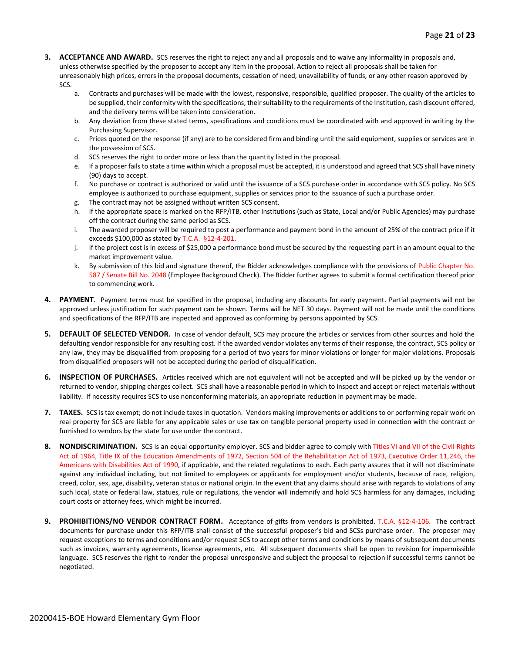- **3. ACCEPTANCE AND AWARD.** SCS reserves the right to reject any and all proposals and to waive any informality in proposals and, unless otherwise specified by the proposer to accept any item in the proposal. Action to reject all proposals shall be taken for unreasonably high prices, errors in the proposal documents, cessation of need, unavailability of funds, or any other reason approved by SCS.
	- a. Contracts and purchases will be made with the lowest, responsive, responsible, qualified proposer. The quality of the articles to be supplied, their conformity with the specifications, their suitability to the requirements of the Institution, cash discount offered, and the delivery terms will be taken into consideration.
	- b. Any deviation from these stated terms, specifications and conditions must be coordinated with and approved in writing by the Purchasing Supervisor.
	- c. Prices quoted on the response (if any) are to be considered firm and binding until the said equipment, supplies or services are in the possession of SCS.
	- d. SCS reserves the right to order more or less than the quantity listed in the proposal.
	- e. If a proposer fails to state a time within which a proposal must be accepted, it is understood and agreed that SCS shall have ninety (90) days to accept.
	- f. No purchase or contract is authorized or valid until the issuance of a SCS purchase order in accordance with SCS policy. No SCS employee is authorized to purchase equipment, supplies or services prior to the issuance of such a purchase order.
	- g. The contract may not be assigned without written SCS consent.
	- h. If the appropriate space is marked on the RFP/ITB, other Institutions (such as State, Local and/or Public Agencies) may purchase off the contract during the same period as SCS.
	- i. The awarded proposer will be required to post a performance and payment bond in the amount of 25% of the contract price if it exceeds \$100,000 as stated by T.C.A. §12-4-201.
	- j. If the project cost is in excess of \$25,000 a performance bond must be secured by the requesting part in an amount equal to the market improvement value.
	- k. By submission of this bid and signature thereof, the Bidder acknowledges compliance with the provisions of Public Chapter No. 587 / Senate Bill No. 2048 (Employee Background Check). The Bidder further agrees to submit a formal certification thereof prior to commencing work.
- **4. PAYMENT**. Payment terms must be specified in the proposal, including any discounts for early payment. Partial payments will not be approved unless justification for such payment can be shown. Terms will be NET 30 days. Payment will not be made until the conditions and specifications of the RFP/ITB are inspected and approved as conforming by persons appointed by SCS.
- **5. DEFAULT OF SELECTED VENDOR.** In case of vendor default, SCS may procure the articles or services from other sources and hold the defaulting vendor responsible for any resulting cost. If the awarded vendor violates any terms of their response, the contract, SCS policy or any law, they may be disqualified from proposing for a period of two years for minor violations or longer for major violations. Proposals from disqualified proposers will not be accepted during the period of disqualification.
- **6. INSPECTION OF PURCHASES.** Articles received which are not equivalent will not be accepted and will be picked up by the vendor or returned to vendor, shipping charges collect. SCS shall have a reasonable period in which to inspect and accept or reject materials without liability. If necessity requires SCS to use nonconforming materials, an appropriate reduction in payment may be made.
- **7. TAXES.** SCS is tax exempt; do not include taxes in quotation. Vendors making improvements or additions to or performing repair work on real property for SCS are liable for any applicable sales or use tax on tangible personal property used in connection with the contract or furnished to vendors by the state for use under the contract.
- **8. NONDISCRIMINATION.** SCS is an equal opportunity employer. SCS and bidder agree to comply with Titles VI and VII of the Civil Rights Act of 1964, Title IX of the Education Amendments of 1972, Section 504 of the Rehabilitation Act of 1973, Executive Order 11,246, the Americans with Disabilities Act of 1990, if applicable, and the related regulations to each. Each party assures that it will not discriminate against any individual including, but not limited to employees or applicants for employment and/or students, because of race, religion, creed, color, sex, age, disability, veteran status or national origin. In the event that any claims should arise with regards to violations of any such local, state or federal law, statues, rule or regulations, the vendor will indemnify and hold SCS harmless for any damages, including court costs or attorney fees, which might be incurred.
- **9. PROHIBITIONS/NO VENDOR CONTRACT FORM.** Acceptance of gifts from vendors is prohibited. T.C.A. §12-4-106. The contract documents for purchase under this RFP/ITB shall consist of the successful proposer's bid and SCSs purchase order. The proposer may request exceptions to terms and conditions and/or request SCS to accept other terms and conditions by means of subsequent documents such as invoices, warranty agreements, license agreements, etc. All subsequent documents shall be open to revision for impermissible language. SCS reserves the right to render the proposal unresponsive and subject the proposal to rejection if successful terms cannot be negotiated.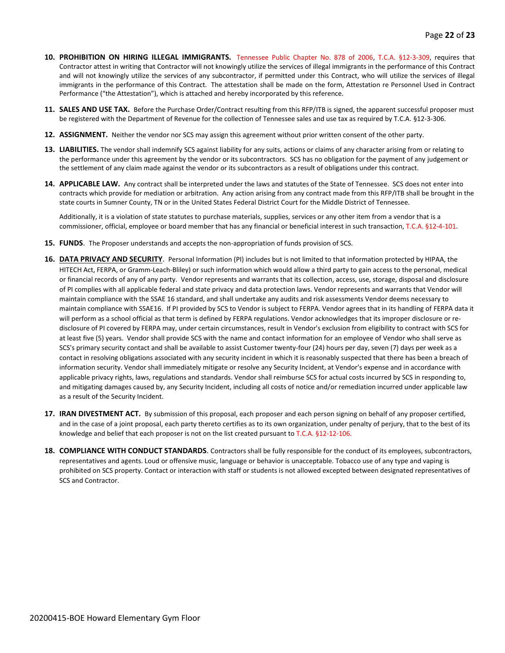- **10. PROHIBITION ON HIRING ILLEGAL IMMIGRANTS.** Tennessee Public Chapter No. 878 of 2006, T.C.A. §12-3-309, requires that Contractor attest in writing that Contractor will not knowingly utilize the services of illegal immigrants in the performance of this Contract and will not knowingly utilize the services of any subcontractor, if permitted under this Contract, who will utilize the services of illegal immigrants in the performance of this Contract. The attestation shall be made on the form, Attestation re Personnel Used in Contract Performance ("the Attestation"), which is attached and hereby incorporated by this reference.
- **11. SALES AND USE TAX.** Before the Purchase Order/Contract resulting from this RFP/ITB is signed, the apparent successful proposer must be registered with the Department of Revenue for the collection of Tennessee sales and use tax as required by T.C.A. §12-3-306.
- **12. ASSIGNMENT.** Neither the vendor nor SCS may assign this agreement without prior written consent of the other party.
- **13. LIABILITIES.** The vendor shall indemnify SCS against liability for any suits, actions or claims of any character arising from or relating to the performance under this agreement by the vendor or its subcontractors. SCS has no obligation for the payment of any judgement or the settlement of any claim made against the vendor or its subcontractors as a result of obligations under this contract.
- **14. APPLICABLE LAW.** Any contract shall be interpreted under the laws and statutes of the State of Tennessee. SCS does not enter into contracts which provide for mediation or arbitration. Any action arising from any contract made from this RFP/ITB shall be brought in the state courts in Sumner County, TN or in the United States Federal District Court for the Middle District of Tennessee.

Additionally, it is a violation of state statutes to purchase materials, supplies, services or any other item from a vendor that is a commissioner, official, employee or board member that has any financial or beneficial interest in such transaction, T.C.A. §12-4-101.

- **15. FUNDS**. The Proposer understands and accepts the non-appropriation of funds provision of SCS.
- **16. DATA PRIVACY AND SECURITY**. Personal Information (PI) includes but is not limited to that information protected by HIPAA, the HITECH Act, FERPA, or Gramm-Leach-Bliley) or such information which would allow a third party to gain access to the personal, medical or financial records of any of any party. Vendor represents and warrants that its collection, access, use, storage, disposal and disclosure of PI complies with all applicable federal and state privacy and data protection laws. Vendor represents and warrants that Vendor will maintain compliance with the SSAE 16 standard, and shall undertake any audits and risk assessments Vendor deems necessary to maintain compliance with SSAE16. If PI provided by SCS to Vendor is subject to FERPA. Vendor agrees that in its handling of FERPA data it will perform as a school official as that term is defined by FERPA regulations. Vendor acknowledges that its improper disclosure or redisclosure of PI covered by FERPA may, under certain circumstances, result in Vendor's exclusion from eligibility to contract with SCS for at least five (5) years. Vendor shall provide SCS with the name and contact information for an employee of Vendor who shall serve as SCS's primary security contact and shall be available to assist Customer twenty-four (24) hours per day, seven (7) days per week as a contact in resolving obligations associated with any security incident in which it is reasonably suspected that there has been a breach of information security. Vendor shall immediately mitigate or resolve any Security Incident, at Vendor's expense and in accordance with applicable privacy rights, laws, regulations and standards. Vendor shall reimburse SCS for actual costs incurred by SCS in responding to, and mitigating damages caused by, any Security Incident, including all costs of notice and/or remediation incurred under applicable law as a result of the Security Incident.
- **17. IRAN DIVESTMENT ACT.** By submission of this proposal, each proposer and each person signing on behalf of any proposer certified, and in the case of a joint proposal, each party thereto certifies as to its own organization, under penalty of perjury, that to the best of its knowledge and belief that each proposer is not on the list created pursuant to T.C.A. §12-12-106.
- **18. COMPLIANCE WITH CONDUCT STANDARDS**. Contractors shall be fully responsible for the conduct of its employees, subcontractors, representatives and agents. Loud or offensive music, language or behavior is unacceptable. Tobacco use of any type and vaping is prohibited on SCS property. Contact or interaction with staff or students is not allowed excepted between designated representatives of SCS and Contractor.